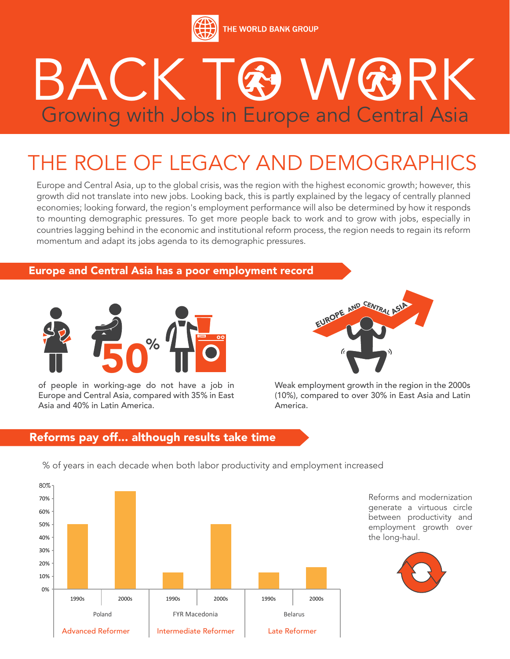

# BACK TAWARK Growing with Jobs in Europe and Central Asia

# THE ROLE OF LEGACY AND DEMOGRAPHICS

Europe and Central Asia, up to the global crisis, was the region with the highest economic growth; however, this growth did not translate into new jobs. Looking back, this is partly explained by the legacy of centrally planned economies; looking forward, the region's employment performance will also be determined by how it responds to mounting demographic pressures. To get more people back to work and to grow with jobs, especially in countries lagging behind in the economic and institutional reform process, the region needs to regain its reform momentum and adapt its jobs agenda to its demographic pressures.

### Europe and Central Asia has a poor employment record



of people in working-age do not have a job in Europe and Central Asia, compared with 35% in East Asia and 40% in Latin America.



Weak employment growth in the region in the 2000s (10%), compared to over 30% in East Asia and Latin America.

#### FYR Macedonia Reforms pay off... although results take time



Reforms and modernization generate a virtuous circle between productivity and employment growth over the long-haul.



% of years in each decade when both labor productivity and employment increased